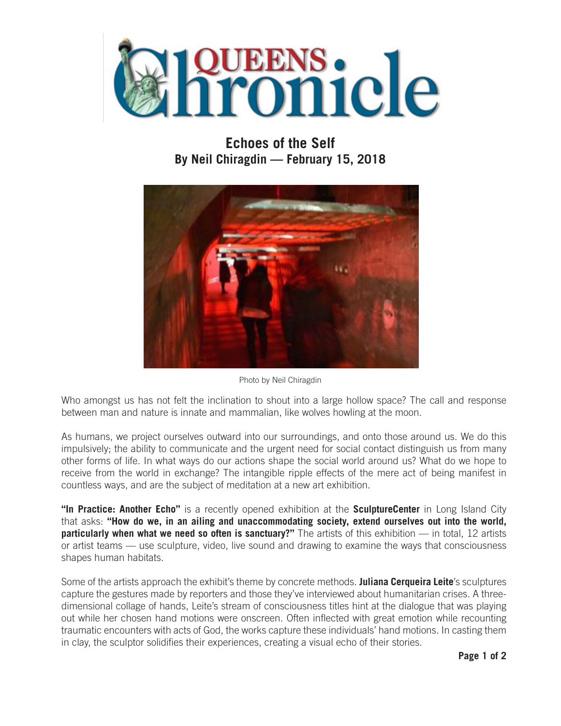

## **Echoes of the Self By Neil Chiragdin — February 15, 2018**



Photo by Neil Chiragdin

Who amongst us has not felt the inclination to shout into a large hollow space? The call and response between man and nature is innate and mammalian, like wolves howling at the moon.

As humans, we project ourselves outward into our surroundings, and onto those around us. We do this impulsively; the ability to communicate and the urgent need for social contact distinguish us from many other forms of life. In what ways do our actions shape the social world around us? What do we hope to receive from the world in exchange? The intangible ripple effects of the mere act of being manifest in countless ways, and are the subject of meditation at a new art exhibition.

**"In Practice: Another Echo"** is a recently opened exhibition at the **SculptureCenter** in Long Island City that asks: **"How do we, in an ailing and unaccommodating society, extend ourselves out into the world, particularly when what we need so often is sanctuary?"** The artists of this exhibition — in total, 12 artists or artist teams — use sculpture, video, live sound and drawing to examine the ways that consciousness shapes human habitats.

Some of the artists approach the exhibit's theme by concrete methods. **Juliana Cerqueira Leite**'s sculptures capture the gestures made by reporters and those they've interviewed about humanitarian crises. A threedimensional collage of hands, Leite's stream of consciousness titles hint at the dialogue that was playing out while her chosen hand motions were onscreen. Often inflected with great emotion while recounting traumatic encounters with acts of God, the works capture these individuals' hand motions. In casting them in clay, the sculptor solidifies their experiences, creating a visual echo of their stories.